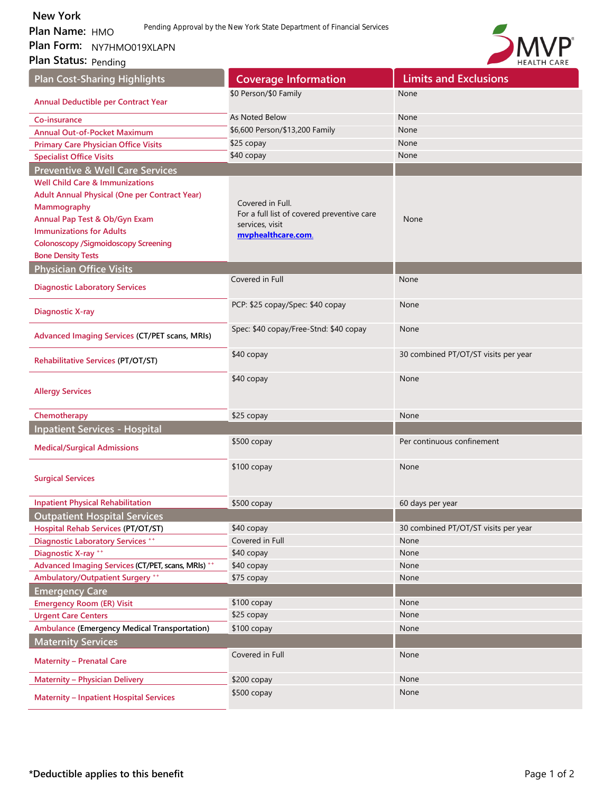**Plan Name: HMO Plan Form:**  New York<br>Plan Name: HMO Rending A<br>Plan Form: NY7HMO019XLAPN<br>Plan Status: <sub>Pending</sub>

**Plan Status: Pending** 



| <b>Plan Cost-Sharing Highlights</b>                  | <b>Coverage Information</b>                | <b>Limits and Exclusions</b>         |
|------------------------------------------------------|--------------------------------------------|--------------------------------------|
| Annual Deductible per Contract Year                  | \$0 Person/\$0 Family                      | None                                 |
|                                                      |                                            |                                      |
| Co-insurance                                         | As Noted Below                             | None                                 |
| <b>Annual Out-of-Pocket Maximum</b>                  | \$6,600 Person/\$13,200 Family             | None                                 |
| <b>Primary Care Physician Office Visits</b>          | \$25 copay                                 | None                                 |
| <b>Specialist Office Visits</b>                      | \$40 copay                                 | None                                 |
| <b>Preventive &amp; Well Care Services</b>           |                                            |                                      |
| <b>Well Child Care &amp; Immunizations</b>           |                                            |                                      |
| <b>Adult Annual Physical (One per Contract Year)</b> | Covered in Full.                           |                                      |
| Mammography                                          | For a full list of covered preventive care |                                      |
| Annual Pap Test & Ob/Gyn Exam                        | services, visit                            | None                                 |
| <b>Immunizations for Adults</b>                      | mvphealthcare.com.                         |                                      |
| <b>Colonoscopy /Sigmoidoscopy Screening</b>          |                                            |                                      |
| <b>Bone Density Tests</b>                            |                                            |                                      |
| <b>Physician Office Visits</b>                       | Covered in Full                            | None                                 |
| <b>Diagnostic Laboratory Services</b>                |                                            |                                      |
| <b>Diagnostic X-ray</b>                              | PCP: \$25 copay/Spec: \$40 copay           | None                                 |
| Advanced Imaging Services (CT/PET scans, MRIs)       | Spec: \$40 copay/Free-Stnd: \$40 copay     | None                                 |
| <b>Rehabilitative Services (PT/OT/ST)</b>            | \$40 copay                                 | 30 combined PT/OT/ST visits per year |
| <b>Allergy Services</b>                              | $$40$ copay                                | None                                 |
| Chemotherapy                                         | \$25 copay                                 | None                                 |
| <b>Inpatient Services - Hospital</b>                 |                                            |                                      |
| <b>Medical/Surgical Admissions</b>                   | $$500$ copay                               | Per continuous confinement           |
| <b>Surgical Services</b>                             | $$100$ copay                               | None                                 |
| <b>Inpatient Physical Rehabilitation</b>             | \$500 copay                                | 60 days per year                     |
| <b>Outpatient Hospital Services</b>                  |                                            |                                      |
| Hospital Rehab Services (PT/OT/ST)                   | \$40 copay                                 | 30 combined PT/OT/ST visits per year |
| <b>Diagnostic Laboratory Services **</b>             | Covered in Full                            | None                                 |
| Diagnostic X-ray **                                  | \$40 copay                                 | None                                 |
| Advanced Imaging Services (CT/PET, scans, MRIs) **   | \$40 copay                                 | None                                 |
| Ambulatory/Outpatient Surgery **                     | \$75 copay                                 | None                                 |
| <b>Emergency Care</b>                                |                                            |                                      |
| <b>Emergency Room (ER) Visit</b>                     | \$100 copay                                | None                                 |
| <b>Urgent Care Centers</b>                           | \$25 copay                                 | None                                 |
| <b>Ambulance (Emergency Medical Transportation)</b>  | \$100 copay                                | None                                 |
| <b>Maternity Services</b>                            |                                            |                                      |
| <b>Maternity - Prenatal Care</b>                     | Covered in Full                            | None                                 |
| <b>Maternity - Physician Delivery</b>                | \$200 copay                                | None                                 |
| <b>Maternity - Inpatient Hospital Services</b>       | \$500 copay                                | None                                 |